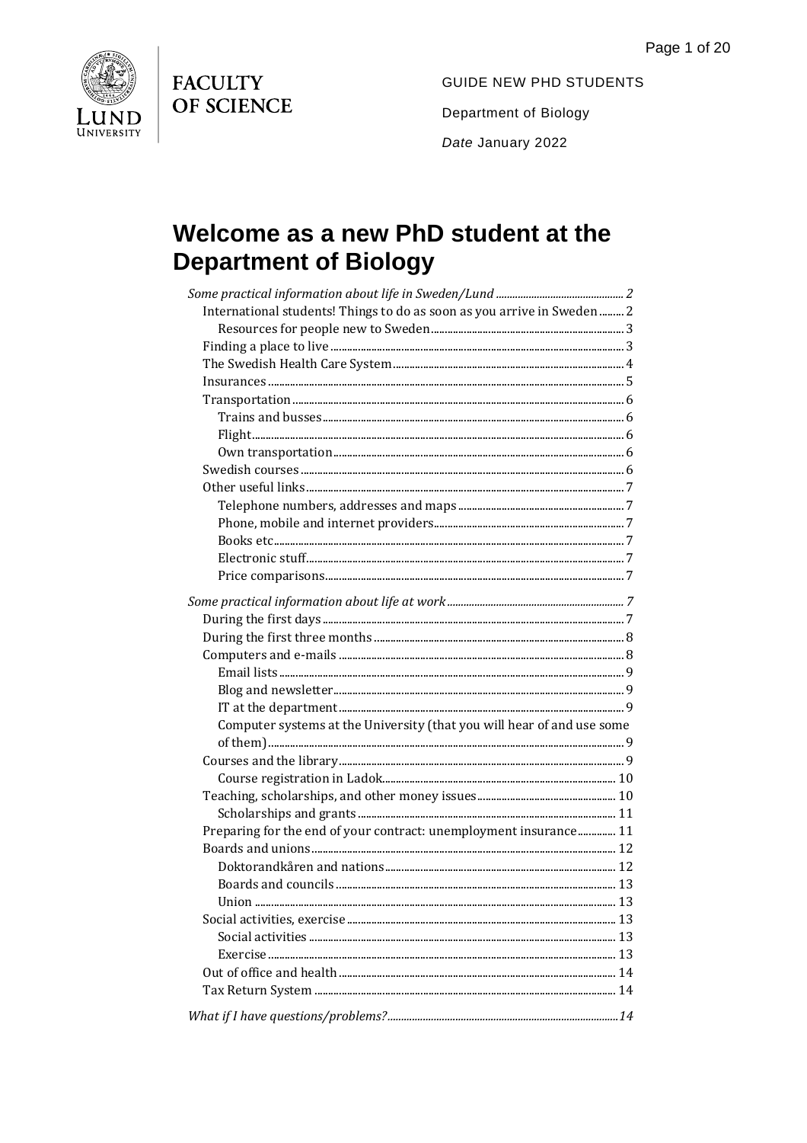**FACULTY** OF SCIENCE



**GUIDE NEW PHD STUDENTS** Department of Biology Date January 2022

# Welcome as a new PhD student at the **Department of Biology**

| International students! Things to do as soon as you arrive in Sweden  2 |  |
|-------------------------------------------------------------------------|--|
|                                                                         |  |
|                                                                         |  |
|                                                                         |  |
|                                                                         |  |
|                                                                         |  |
|                                                                         |  |
|                                                                         |  |
|                                                                         |  |
|                                                                         |  |
|                                                                         |  |
|                                                                         |  |
|                                                                         |  |
|                                                                         |  |
|                                                                         |  |
|                                                                         |  |
|                                                                         |  |
|                                                                         |  |
|                                                                         |  |
|                                                                         |  |
|                                                                         |  |
|                                                                         |  |
|                                                                         |  |
| Computer systems at the University (that you will hear of and use some  |  |
|                                                                         |  |
|                                                                         |  |
|                                                                         |  |
|                                                                         |  |
|                                                                         |  |
| Preparing for the end of your contract: unemployment insurance 11       |  |
|                                                                         |  |
|                                                                         |  |
|                                                                         |  |
|                                                                         |  |
|                                                                         |  |
|                                                                         |  |
|                                                                         |  |
|                                                                         |  |
|                                                                         |  |
|                                                                         |  |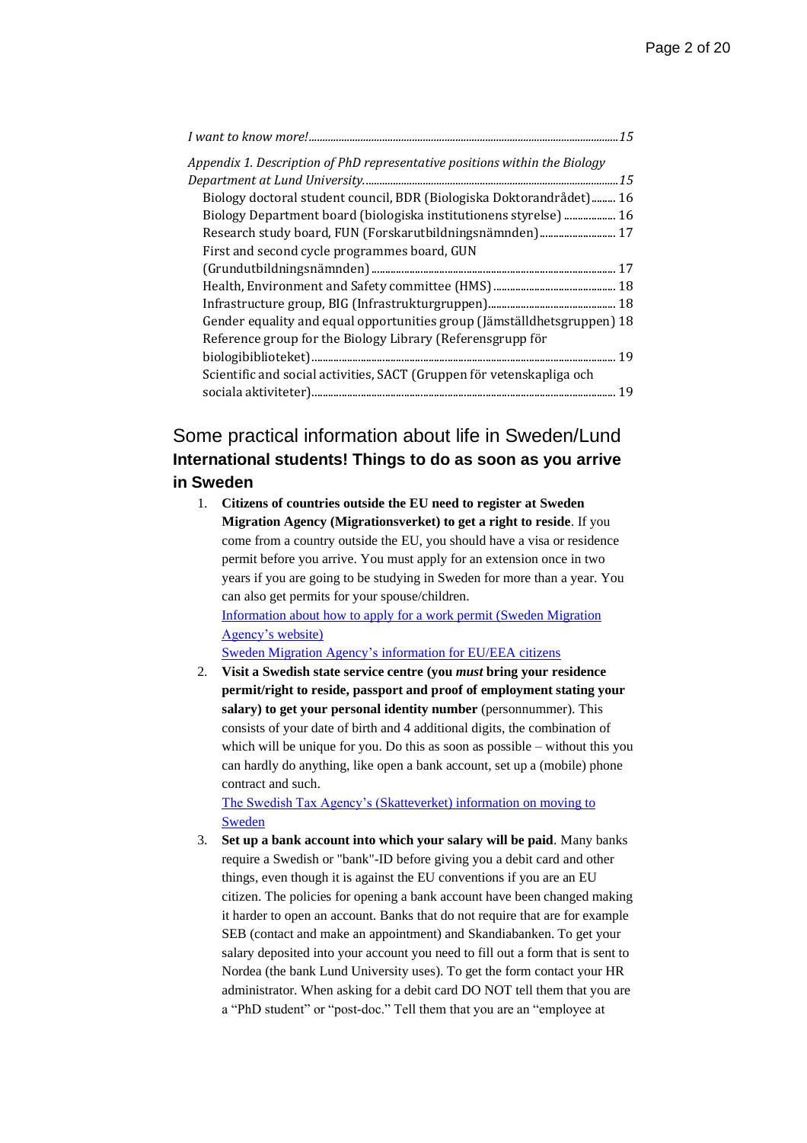| Appendix 1. Description of PhD representative positions within the Biology |    |
|----------------------------------------------------------------------------|----|
|                                                                            |    |
| Biology doctoral student council, BDR (Biologiska Doktorandrådet) 16       |    |
| Biology Department board (biologiska institutionens styrelse)  16          |    |
| Research study board, FUN (Forskarutbildningsnämnden) 17                   |    |
| First and second cycle programmes board, GUN                               |    |
|                                                                            |    |
|                                                                            |    |
|                                                                            |    |
| Gender equality and equal opportunities group (Jämställdhetsgruppen) 18    |    |
| Reference group for the Biology Library (Referensgrupp för                 |    |
|                                                                            | 19 |
| Scientific and social activities, SACT (Gruppen för vetenskapliga och      |    |
|                                                                            | 19 |

# <span id="page-1-1"></span><span id="page-1-0"></span>Some practical information about life in Sweden/Lund **International students! Things to do as soon as you arrive in Sweden**

1. **Citizens of countries outside the EU need to register at Sweden Migration Agency (Migrationsverket) to get a right to reside**. If you come from a country outside the EU, you should have a visa or residence permit before you arrive. You must apply for an extension once in two years if you are going to be studying in Sweden for more than a year. You can also get permits for your spouse/children. [Information about how to apply for a work permit \(Sweden Migration](https://www.migrationsverket.se/English/Private-individuals/Working-in-Sweden/Employed/How-to-apply.html)  [Agency's](https://www.migrationsverket.se/English/Private-individuals/Working-in-Sweden/Employed/How-to-apply.html) website)

Sweden Migration Agency's [information for EU/EEA citizens](https://www.migrationsverket.se/English/Private-individuals/EU-EEA-citizens-and-long-term-residents/Work-study-or-live-in-Sweden-for-EU-EEA-citizens.html)

2. **Visit a Swedish state service centre (you** *must* **bring your residence permit/right to reside, passport and proof of employment stating your salary) to get your personal identity number** (personnummer). This consists of your date of birth and 4 additional digits, the combination of which will be unique for you. Do this as soon as possible – without this you can hardly do anything, like open a bank account, set up a (mobile) phone contract and such.

[The Swedish Tax Agency's \(Skatteverket\)](https://www.skatteverket.se/servicelankar/otherlanguages/inenglish/individualsandemployees/movingtosweden.4.7be5268414bea064694c40c.html) information on moving to [Sweden](https://www.skatteverket.se/servicelankar/otherlanguages/inenglish/individualsandemployees/movingtosweden.4.7be5268414bea064694c40c.html)

3. **Set up a bank account into which your salary will be paid**. Many banks require a Swedish or "bank"-ID before giving you a debit card and other things, even though it is against the EU conventions if you are an EU citizen. The policies for opening a bank account have been changed making it harder to open an account. Banks that do not require that are for example SEB (contact and make an appointment) and Skandiabanken. To get your salary deposited into your account you need to fill out a form that is sent to Nordea (the bank Lund University uses). To get the form contact your HR administrator. When asking for a debit card DO NOT tell them that you are a "PhD student" or "post-doc." Tell them that you are an "employee at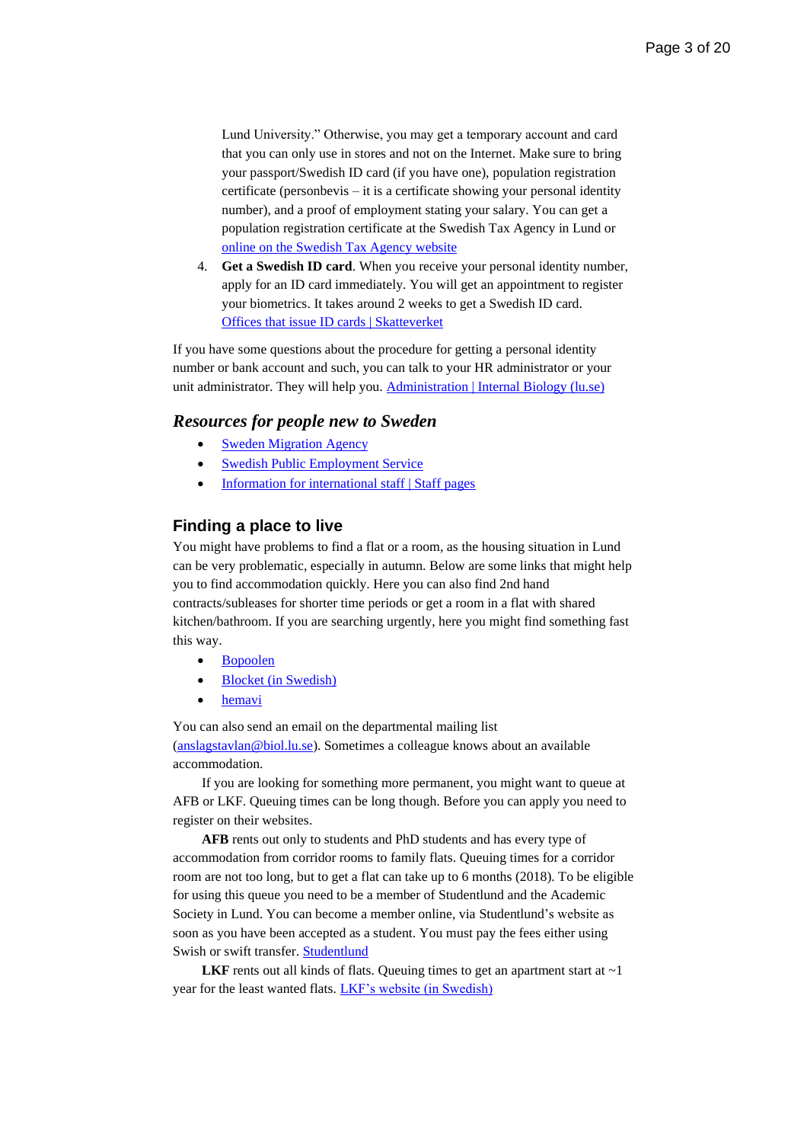Lund University." Otherwise, you may get a temporary account and card that you can only use in stores and not on the Internet. Make sure to bring your passport/Swedish ID card (if you have one), population registration certificate (personbevis – it is a certificate showing your personal identity number), and a proof of employment stating your salary. You can get a population registration certificate at the Swedish Tax Agency in Lund or [online on the Swedish Tax Agency website](https://www.skatteverket.se/servicelankar/otherlanguages/inenglish/individualsandemployees/livinginsweden/populationregistrationcertificate.4.361dc8c15312eff6fd117b6.html#!/valjare/steg1)

4. **Get a Swedish ID card**. When you receive your personal identity number, apply for an ID card immediately. You will get an appointment to register your biometrics. It takes around 2 weeks to get a Swedish ID card. [Offices that issue ID cards | Skatteverket](https://www.skatteverket.se/servicelankar/otherlanguages/inenglish/individualsandemployees/livinginsweden/idcard/makeanappointmentforapplicationofidcard.4.3810a01c150939e893f1e328.html)

If you have some questions about the procedure for getting a personal identity number or bank account and such, you can talk to your HR administrator or your unit administrator. They will help you. [Administration | Internal Biology \(lu.se\)](https://www.biology.lu.se/internal/organisation/administration)

#### <span id="page-2-0"></span>*Resources for people new to Sweden*

- [Sweden Migration Agency](https://www.skatteverket.se/servicelankar/otherlanguages/inenglish/individualsandemployees/livinginsweden/populationregistrationcertificate.4.361dc8c15312eff6fd117b6.html#!/valjare/steg1)
- [Swedish Public Employment Service](https://arbetsformedlingen.se/other-languages/english-engelska/do-you-want-to-work-in-sweden)
- [Information for international staff |](https://www.staff.lu.se/employment/international-staff) Staff pages

#### <span id="page-2-1"></span>**Finding a place to live**

You might have problems to find a flat or a room, as the housing situation in Lund can be very problematic, especially in autumn. Below are some links that might help you to find accommodation quickly. Here you can also find 2nd hand contracts/subleases for shorter time periods or get a room in a flat with shared kitchen/bathroom. If you are searching urgently, here you might find something fast this way.

- [Bopoolen](https://bopoolen.nu/en/find-housing/)
- Blocket [\(in Swedish\)](https://bostad.blocket.se/p2/sv/find-home/?searchAreas=Sk%C3%A5ne_l%C3%A4n)
- [hemavi](https://start.hemavi.com/tenant-en)

You can also send an email on the departmental mailing list [\(anslagstavlan@biol.lu.se\)](mailto:anslagstavlan@biol.lu.se). Sometimes a colleague knows about an available accommodation.

If you are looking for something more permanent, you might want to queue at AFB or LKF. Queuing times can be long though. Before you can apply you need to register on their websites.

**AFB** rents out only to students and PhD students and has every type of accommodation from corridor rooms to family flats. Queuing times for a corridor room are not too long, but to get a flat can take up to 6 months (2018). To be eligible for using this queue you need to be a member of Studentlund and the Academic Society in Lund. You can become a member online, via Studentlund's website as soon as you have been accepted as a student. You must pay the fees either using Swish or swift transfer. [Studentlund](https://www.studentlund.se/)

**LKF** rents out all kinds of flats. Queuing times to get an apartment start at  $\sim$ 1 year for the least wanted flats. [LKF's website \(in Swedish\)](https://www.lkf.se/att-hyra-hos-oss/)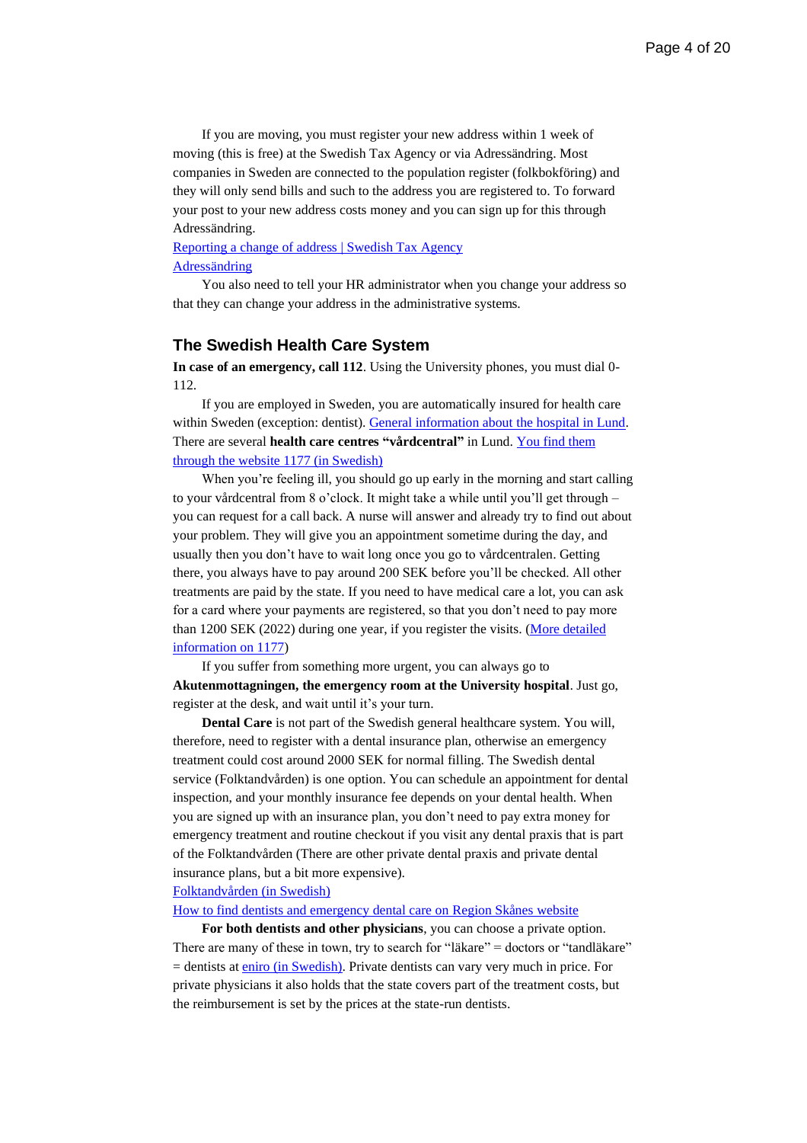If you are moving, you must register your new address within 1 week of moving (this is free) at the Swedish Tax Agency or via Adressändring. Most companies in Sweden are connected to the population register (folkbokföring) and they will only send bills and such to the address you are registered to. To forward your post to your new address costs money and you can sign up for this through Adressändring.

#### [Reporting a change of address | Swedish Tax Agency](https://www.skatteverket.se/servicelankar/otherlanguages/inenglish/individualsandemployees/reportingachangeofaddress.4.5c1163881590be297b51920b.html) [Adressändring](https://www.adressandring.se/in-english)

You also need to tell your HR administrator when you change your address so that they can change your address in the administrative systems.

#### <span id="page-3-0"></span>**The Swedish Health Care System**

**In case of an emergency, call 112**. Using the University phones, you must dial 0- 112.

If you are employed in Sweden, you are automatically insured for health care within Sweden (exception: dentist). [General information about the hospital in Lund.](https://vard.skane.se/en/skane-university-hospital/about-us/) There are several **health care centres "vårdcentral"** in Lund. [You find them](https://www.1177.se/Skane/hitta-vard/?q=V%c3%a5rdcentral&l=)  [through the website 1177 \(in Swedish\)](https://www.1177.se/Skane/hitta-vard/?q=V%c3%a5rdcentral&l=)

When you're feeling ill, you should go up early in the morning and start calling to your vårdcentral from 8 o'clock. It might take a while until you'll get through – you can request for a call back. A nurse will answer and already try to find out about your problem. They will give you an appointment sometime during the day, and usually then you don't have to wait long once you go to vårdcentralen. Getting there, you always have to pay around 200 SEK before you'll be checked. All other treatments are paid by the state. If you need to have medical care a lot, you can ask for a card where your payments are registered, so that you don't need to pay more than 1200 SEK (2022) during one year, if you register the visits. [\(More detailed](https://www.1177.se/en/Skane/other-languages/other-languages/soka-vard/det-har-betalar-du-for-varden-i-skane/)  [information](https://www.1177.se/en/Skane/other-languages/other-languages/soka-vard/det-har-betalar-du-for-varden-i-skane/) on 1177)

If you suffer from something more urgent, you can always go to **Akutenmottagningen, the emergency room at the University hospital**. Just go, register at the desk, and wait until it's your turn.

**Dental Care** is not part of the Swedish general healthcare system. You will, therefore, need to register with a dental insurance plan, otherwise an emergency treatment could cost around 2000 SEK for normal filling. The Swedish dental service (Folktandvården) is one option. You can schedule an appointment for dental inspection, and your monthly insurance fee depends on your dental health. When you are signed up with an insurance plan, you don't need to pay extra money for emergency treatment and routine checkout if you visit any dental praxis that is part of the Folktandvården (There are other private dental praxis and private dental insurance plans, but a bit more expensive).

#### [Folktandvården](https://folktandvardenskane.se/)) (in Swedish)

#### [How to find dentists and emergency dental care on Region Skånes](https://www.skane.se/en/Health-care/dental-care/find-a-dentist/) website

**For both dentists and other physicians**, you can choose a private option. There are many of these in town, try to search for "läkare" = doctors or "tandläkare"  $=$  dentists at eniro [\(in Swedish\).](https://www.eniro.se/) Private dentists can vary very much in price. For private physicians it also holds that the state covers part of the treatment costs, but the reimbursement is set by the prices at the state-run dentists.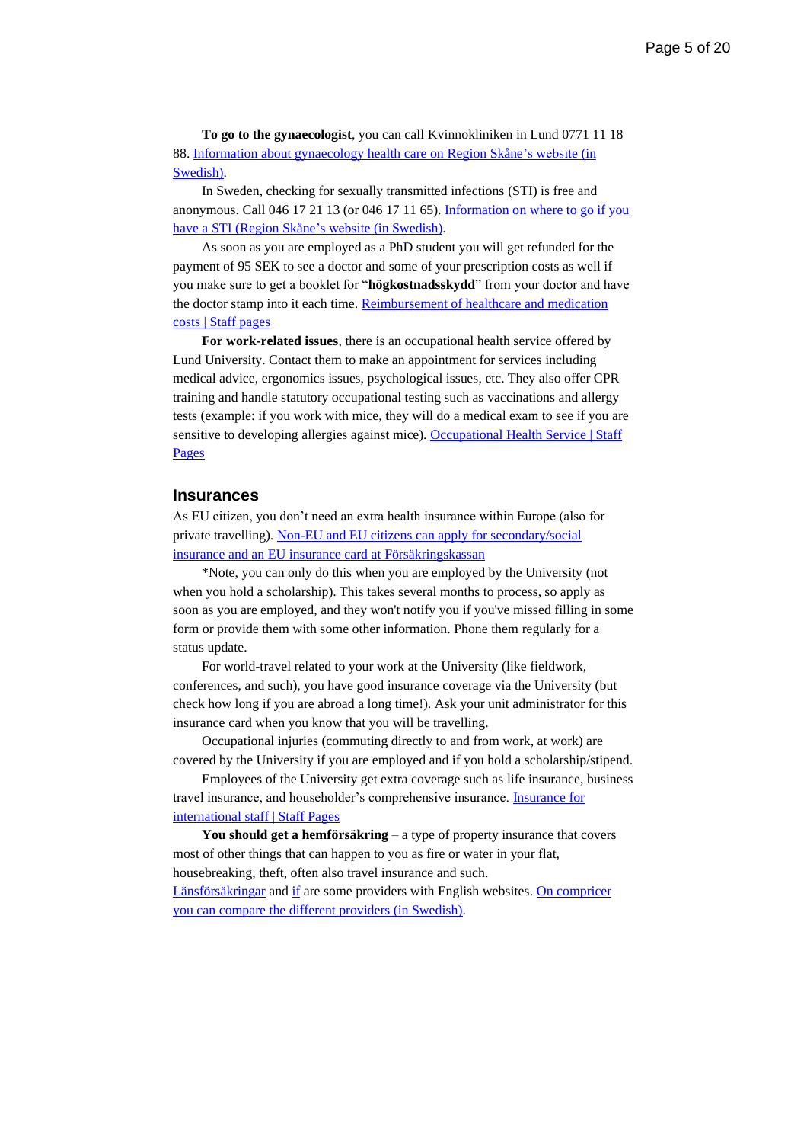**To go to the gynaecologist**, you can call Kvinnokliniken in Lund 0771 11 18 88[. Information about gynaecology health care on Region Skåne's website \(in](https://vard.skane.se/skanes-universitetssjukhus-sus/om-oss/det-har-jobbar-vi-med-pa-sus/kvinnosjukvard/)  [Swedish\).](https://vard.skane.se/skanes-universitetssjukhus-sus/om-oss/det-har-jobbar-vi-med-pa-sus/kvinnosjukvard/)

In Sweden, checking for sexually transmitted infections (STI) is free and anonymous. Call 046 17 21 13 (or 046 17 11 65). [Information on where to go if you](https://vard.skane.se/skanes-universitetssjukhus-sus/mottagningar-och-avdelningar/hudmottagning-genitala-sjukdomar-lund/)  have a [STI \(Region Skåne's website \(in Swedish\).](https://vard.skane.se/skanes-universitetssjukhus-sus/mottagningar-och-avdelningar/hudmottagning-genitala-sjukdomar-lund/)

As soon as you are employed as a PhD student you will get refunded for the payment of 95 SEK to see a doctor and some of your prescription costs as well if you make sure to get a booklet for "**högkostnadsskydd**" from your doctor and have the doctor stamp into it each time. Reimbursement of healthcare and medication [costs | Staff pages](https://www.staff.lu.se/employment/salary-and-benefits/benefits/reimbursement-healthcare-and-medication-costs)

**For work-related issues**, there is an occupational health service offered by Lund University. Contact them to make an appointment for services including medical advice, ergonomics issues, psychological issues, etc. They also offer CPR training and handle statutory occupational testing such as vaccinations and allergy tests (example: if you work with mice, they will do a medical exam to see if you are sensitive to developing allergies against mice). Occupational Health Service | Staff [Pages](https://www.staff.lu.se/employment/work-environment-and-health/health-and-wellness/occupational-health-service)

#### <span id="page-4-0"></span>**Insurances**

As EU citizen, you don't need an extra health insurance within Europe (also for private travelling). [Non-EU and EU citizens can apply for secondary/social](https://www.forsakringskassan.se/english/travel-work-study-or-receive-care-abroad/travel-or-receive-medical-or-dental-treatment-abroad)  [insurance and an EU insurance card at Försäkringskassan](https://www.forsakringskassan.se/english/travel-work-study-or-receive-care-abroad/travel-or-receive-medical-or-dental-treatment-abroad)

\*Note, you can only do this when you are employed by the University (not when you hold a scholarship). This takes several months to process, so apply as soon as you are employed, and they won't notify you if you've missed filling in some form or provide them with some other information. Phone them regularly for a status update.

For world-travel related to your work at the University (like fieldwork, conferences, and such), you have good insurance coverage via the University (but check how long if you are abroad a long time!). Ask your unit administrator for this insurance card when you know that you will be travelling.

Occupational injuries (commuting directly to and from work, at work) are covered by the University if you are employed and if you hold a scholarship/stipend.

Employees of the University get extra coverage such as life insurance, business travel insurance, and householder's comprehensive insurance. [Insurance for](https://www.staff.lu.se/employment/terms-employment/insurance/insurance-international-staff)  [international staff | Staff Pages](https://www.staff.lu.se/employment/terms-employment/insurance/insurance-international-staff)

**You should get a hemförsäkring** – a type of property insurance that covers most of other things that can happen to you as fire or water in your flat, housebreaking, theft, often also travel insurance and such.

[Länsförsäkringar](https://www.lansforsakringar.se/skane/other-languages/english/insurance-policy/home-insurance/) and [if](https://www.if.se/privat/kundservice/in-english/home-insurance) are some providers with English websites[. On compricer](https://www.compricer.se/forsakring/)  [you can compare the different providers \(in Swedish\).](https://www.compricer.se/forsakring/)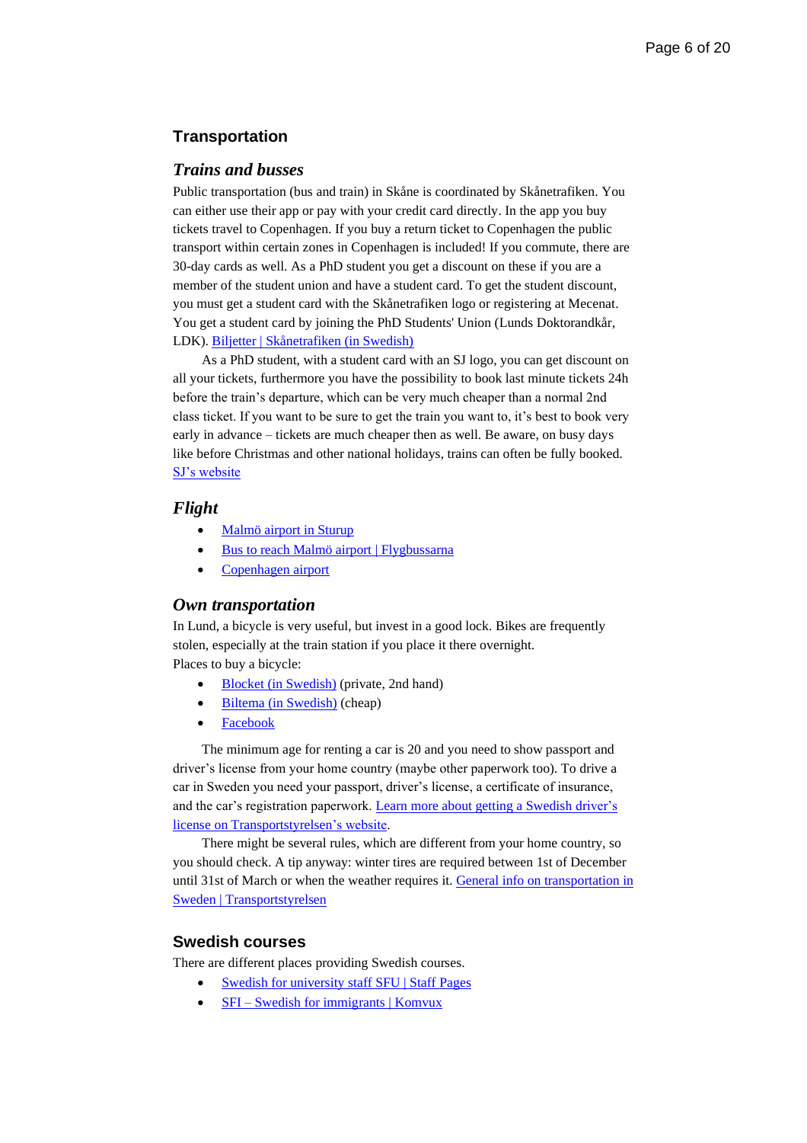# <span id="page-5-0"></span>**Transportation**

#### <span id="page-5-1"></span>*Trains and busses*

Public transportation (bus and train) in Skåne is coordinated by Skånetrafiken. You can either use their app or pay with your credit card directly. In the app you buy tickets travel to Copenhagen. If you buy a return ticket to Copenhagen the public transport within certain zones in Copenhagen is included! If you commute, there are 30-day cards as well. As a PhD student you get a discount on these if you are a member of the student union and have a student card. To get the student discount, you must get a student card with the Skånetrafiken logo or registering at Mecenat. You get a student card by joining the PhD Students' Union (Lunds Doktorandkår, LDK). [Biljetter | Skånetrafiken](https://www.skanetrafiken.se/biljetter/) (in Swedish)

As a PhD student, with a student card with an SJ logo, you can get discount on all your tickets, furthermore you have the possibility to book last minute tickets 24h before the train's departure, which can be very much cheaper than a normal 2nd class ticket. If you want to be sure to get the train you want to, it's best to book very early in advance – tickets are much cheaper then as well. Be aware, on busy days like before Christmas and other national holidays, trains can often be fully booked. [SJ's website](https://www.sj.se/en/home.html#/)

#### <span id="page-5-2"></span>*Flight*

- [Malmö airport in Sturup](https://www.swedavia.com/malmo/)
- [Bus to reach Malmö airport](https://www.flygbussarna.se/en/malmo) | Flygbussarna
- [Copenhagen airport](https://www.cph.dk/en)

#### <span id="page-5-3"></span>*Own transportation*

In Lund, a bicycle is very useful, but invest in a good lock. Bikes are frequently stolen, especially at the train station if you place it there overnight. Places to buy a bicycle:

- Blocket [\(in Swedish\)](https://www.blocket.se/annonser/skane/fritid_hobby/cyklar?cg=6060&r=23) (private, 2nd hand)
- Biltema [\(in Swedish\)](https://www.biltema.se/cykel-elcykel/) (cheap)
- [Facebook](http://facebook.com/)

The minimum age for renting a car is 20 and you need to show passport and driver's license from your home country (maybe other paperwork too). To drive a car in Sweden you need your passport, driver's license, a certificate of insurance, and the car's registration paperwork. [Learn more about getting a Swedish driver's](https://www.transportstyrelsen.se/en/road/Driving-licences/)  license [on Transportstyrelsen's website.](https://www.transportstyrelsen.se/en/road/Driving-licences/)

There might be several rules, which are different from your home country, so you should check. A tip anyway: winter tires are required between 1st of December until 31st of March or when the weather requires it. General info on transportation in [Sweden | Transportstyrelsen](https://www.transportstyrelsen.se/en/road/)

# <span id="page-5-4"></span>**Swedish courses**

There are different places providing Swedish courses.

- [Swedish for university staff SFU](https://www.staff.lu.se/employment/international-staff/swedish-university-staff-sfu) | Staff Pages
- SFI [Swedish for immigrants | Komvux](https://lund-se.translate.goog/gymnasiewebbar/komvux/utbildningar/sfi---svenska-for-invandrare?_x_tr_sl=sv&_x_tr_tl=en&_x_tr_hl=sv)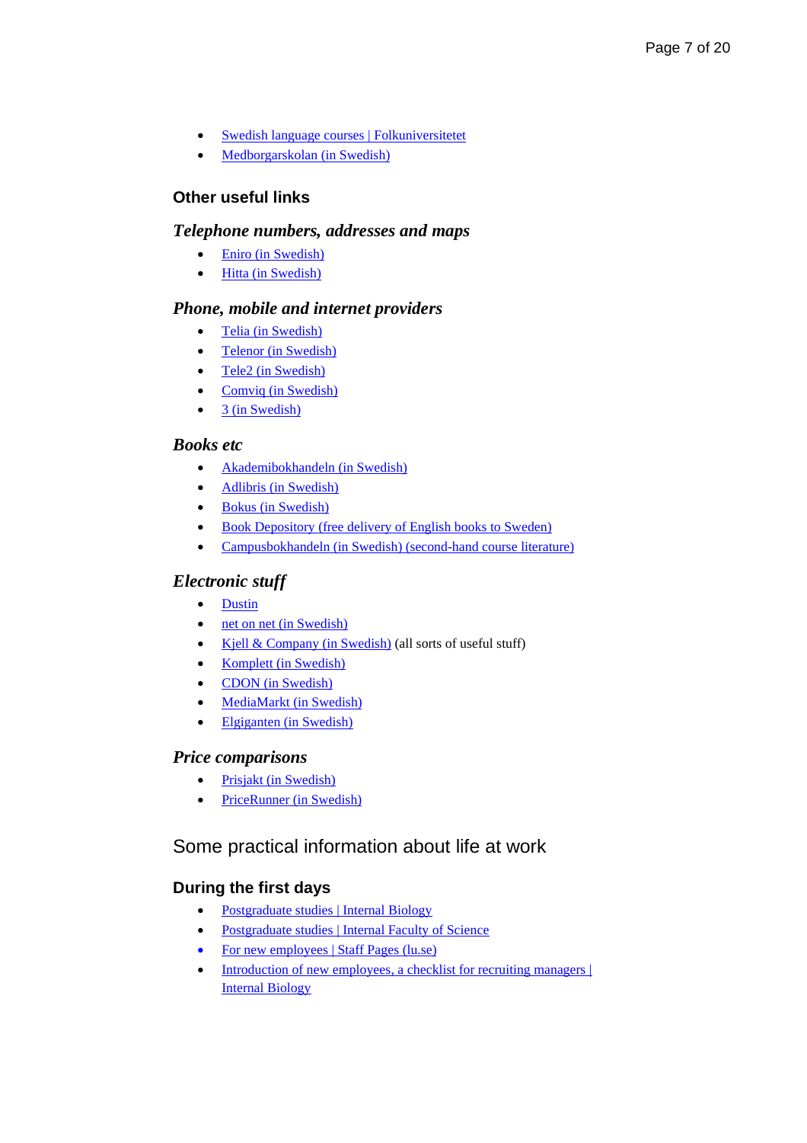- [Swedish language courses | Folkuniversitetet](https://www.folkuniversitetet.se/in-english/swedish-courses/)
- [Medborgarskolan](https://www.medborgarskolan.se/) (in Swedish)

# <span id="page-6-0"></span>**Other useful links**

# <span id="page-6-1"></span>*Telephone numbers, addresses and maps*

- [Eniro \(in Swedish\)](http://www.eniro.se/)
- Hitta [\(in Swedish\)](http://www.hitta.se/)

# <span id="page-6-2"></span>*Phone, mobile and internet providers*

- Telia [\(in Swedish\)](http://www.telia.se/)
- Telenor [\(in Swedish\)](https://www.telenor.se/)
- Tele2 [\(in Swedish\)](http://www.tele2.se/)
- Comviq [\(in Swedish\)](https://www.comviq.se/)
- 3 [\(in Swedish\)](https://www.tre.se/)

# <span id="page-6-3"></span>*Books etc*

- [Akademibokhandeln](http://www.akademibokhandeln.se/) (in Swedish)
- Adlibris [\(in Swedish\)](http://www.adlibris.se/)
- [Bokus \(in Swedish\)](http://www.bokus.se/)
- [Book Depository \(free delivery of English books to Sweden\)](https://www.bookdepository.com/)
- Campusbokhandeln [\(in Swedish\) \(second-hand course literature\)](https://campusbokhandeln.se/studentlitteratur)

# <span id="page-6-4"></span>*Electronic stuff*

- [Dustin](https://www.dustinhome.se/)
- [net on net \(in Swedish\)](https://www.netonnet.se/)
- Kjell [& Company \(in Swedish\)](https://www.kjell.com/se) (all sorts of useful stuff)
- Komplett [\(in Swedish\)](http://www.komplett.se/)
- [CDON \(in Swedish\)](https://cdon.se/)
- MediaMarkt [\(in Swedish\)](https://www.mediamarkt.se/)
- Elgiganten [\(in Swedish\)](https://www.elgiganten.se/)

# <span id="page-6-5"></span>*Price comparisons*

- Prisjakt [\(in Swedish\)](https://www.prisjakt.nu/)
- [PriceRunner \(in Swedish\)](https://www.pricerunner.se/)

# <span id="page-6-6"></span>Some practical information about life at work

# <span id="page-6-7"></span>**During the first days**

- [Postgraduate studies | Internal Biology](https://www.biology.lu.se/internal/research-and-education/postgraduate-studies)
- [Postgraduate studies | Internal Faculty of Science](https://www.science.lu.se/internal/research-and-education/postgraduate-studies)
- [For new employees | Staff Pages \(lu.se\)](https://www.staff.lu.se/employment/new-employees)
- Introduction of new employees, a checklist for recruiting managers | [Internal Biology](https://www.biology.lu.se/internal/employment/introduction-new-employees)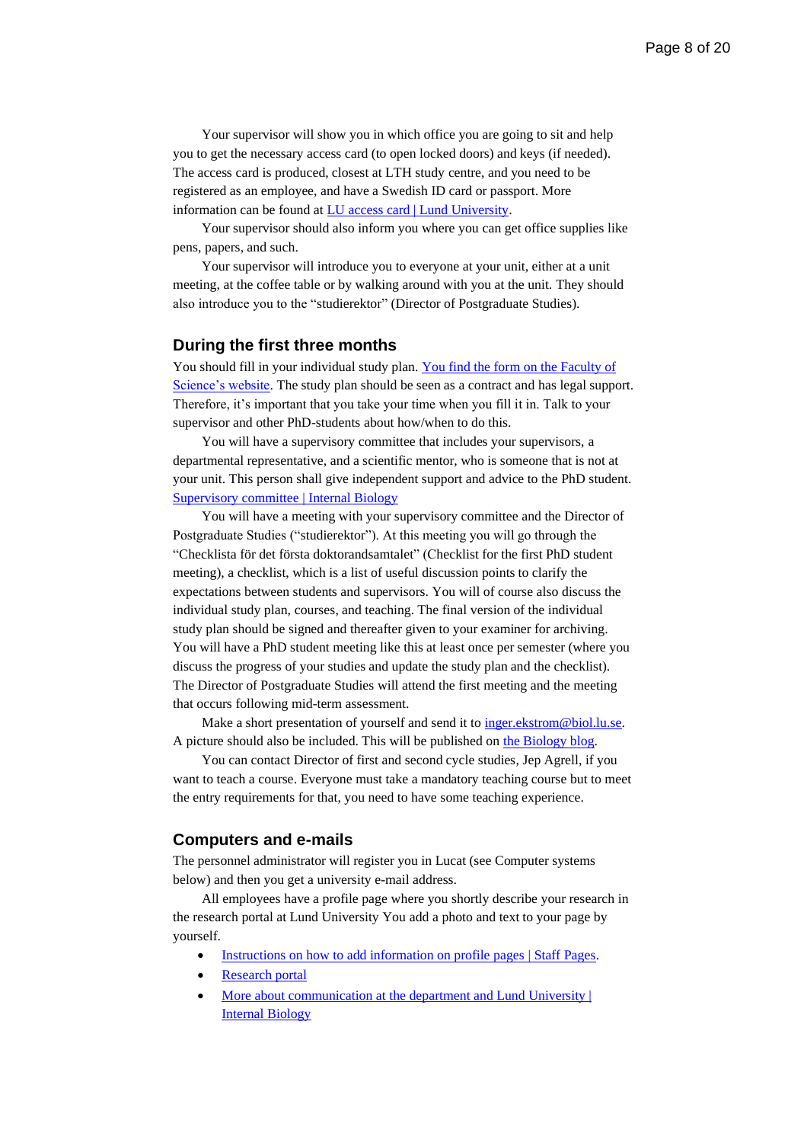Your supervisor will show you in which office you are going to sit and help you to get the necessary access card (to open locked doors) and keys (if needed). The access card is produced, closest at LTH study centre, and you need to be registered as an employee, and have a Swedish ID card or passport. More information can be found at [LU access card | Lund University.](https://www.lunduniversity.lu.se/current-students/new-students/lu-access-card)

Your supervisor should also inform you where you can get office supplies like pens, papers, and such.

Your supervisor will introduce you to everyone at your unit, either at a unit meeting, at the coffee table or by walking around with you at the unit. They should also introduce you to the "studierektor" (Director of Postgraduate Studies).

#### <span id="page-7-0"></span>**During the first three months**

You should fill in your individual study plan. You find the form on the Faculty of [Science's website.](http://isp.science.lu.se/) The study plan should be seen as a contract and has legal support. Therefore, it's important that you take your time when you fill it in. Talk to your supervisor and other PhD-students about how/when to do this.

You will have a supervisory committee that includes your supervisors, a departmental representative, and a scientific mentor, who is someone that is not at your unit. This person shall give independent support and advice to the PhD student. [Supervisory committee | Internal Biology](https://www.biology.lu.se/internal/research-and-education/postgraduate-studies/supervisory-committee)

You will have a meeting with your supervisory committee and the Director of Postgraduate Studies ("studierektor"). At this meeting you will go through the "Checklista för det första doktorandsamtalet" (Checklist for the first PhD student meeting), a checklist, which is a list of useful discussion points to clarify the expectations between students and supervisors. You will of course also discuss the individual study plan, courses, and teaching. The final version of the individual study plan should be signed and thereafter given to your examiner for archiving. You will have a PhD student meeting like this at least once per semester (where you discuss the progress of your studies and update the study plan and the checklist). The Director of Postgraduate Studies will attend the first meeting and the meeting that occurs following mid-term assessment.

Make a short presentation of yourself and send it to inger.ekstrom@biol.lu.se. A picture should also be included. This will be published on [the Biology blog.](https://biologi.blogg.lu.se/)

You can contact Director of first and second cycle studies, Jep Agrell, if you want to teach a course. Everyone must take a mandatory teaching course but to meet the entry requirements for that, you need to have some teaching experience.

#### <span id="page-7-1"></span>**Computers and e-mails**

The personnel administrator will register you in Lucat (see Computer systems below) and then you get a university e-mail address.

All employees have a profile page where you shortly describe your research in the research portal at Lund University You add a photo and text to your page by yourself.

- [Instructions on how to add information on profile pages](https://www.staff.lu.se/research-and-education/research-support/lucris-research-information-system/entering-information/personal-profile) | Staff Pages.
- **[Research portal](http://portal.research.lu.se/portal/en/)**
- More about communication at the department and Lund University  $\vert$ [Internal Biology](https://www.biology.lu.se/internal/support-and-tools/communication)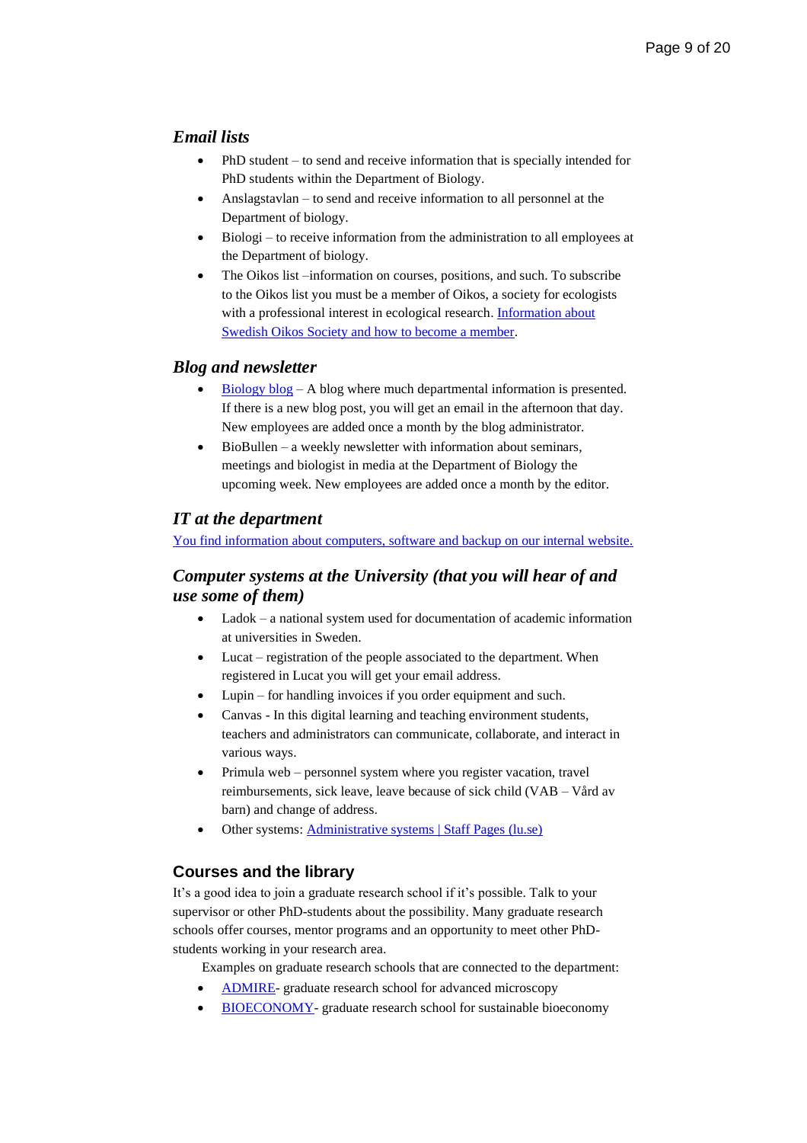# <span id="page-8-0"></span>*Email lists*

- PhD student to send and receive information that is specially intended for PhD students within the Department of Biology.
- Anslagstavlan to send and receive information to all personnel at the Department of biology.
- Biologi to receive information from the administration to all employees at the Department of biology.
- The Oikos list –information on courses, positions, and such. To subscribe to the Oikos list you must be a member of Oikos, a society for ecologists with a professional interest in ecological research[. Information about](https://nordicsocietyoikos.org/national-societies/swedish-oikos-society)  [Swedish Oikos Society and how to become a member.](https://nordicsocietyoikos.org/national-societies/swedish-oikos-society)

#### <span id="page-8-1"></span>*Blog and newsletter*

- [Biology blog](https://biologi.blogg.lu.se/) A blog where much departmental information is presented. If there is a new blog post, you will get an email in the afternoon that day. New employees are added once a month by the blog administrator.
- $Biobullen a weekly newsletter with information about seminars,$ meetings and biologist in media at the Department of Biology the upcoming week. New employees are added once a month by the editor.

# <span id="page-8-2"></span>*IT at the department*

[You find information about computers, software and backup on our internal website.](https://www.biology.lu.se/internal/support-and-tools/biology-it)

# <span id="page-8-3"></span>*Computer systems at the University (that you will hear of and use some of them)*

- Ladok a national system used for documentation of academic information at universities in Sweden.
- Lucat registration of the people associated to the department. When registered in Lucat you will get your email address.
- Lupin for handling invoices if you order equipment and such.
- Canvas In this digital learning and teaching environment students, teachers and administrators can communicate, collaborate, and interact in various ways.
- Primula web personnel system where you register vacation, travel reimbursements, sick leave, leave because of sick child (VAB – Vård av barn) and change of address.
- Other systems: [Administrative systems | Staff Pages \(lu.se\)](https://www.staff.lu.se/administrative-systems)

#### <span id="page-8-4"></span>**Courses and the library**

It's a good idea to join a graduate research school if it's possible. Talk to your supervisor or other PhD-students about the possibility. Many graduate research schools offer courses, mentor programs and an opportunity to meet other PhDstudents working in your research area.

Examples on graduate research schools that are connected to the department:

- [ADMIRE-](https://www.admire.lu.se/) graduate research school for advanced microscopy
- [BIOECONOMY-](https://www.cec.lu.se/education/postgraduate-studies/bioeconomy) graduate research school for sustainable bioeconomy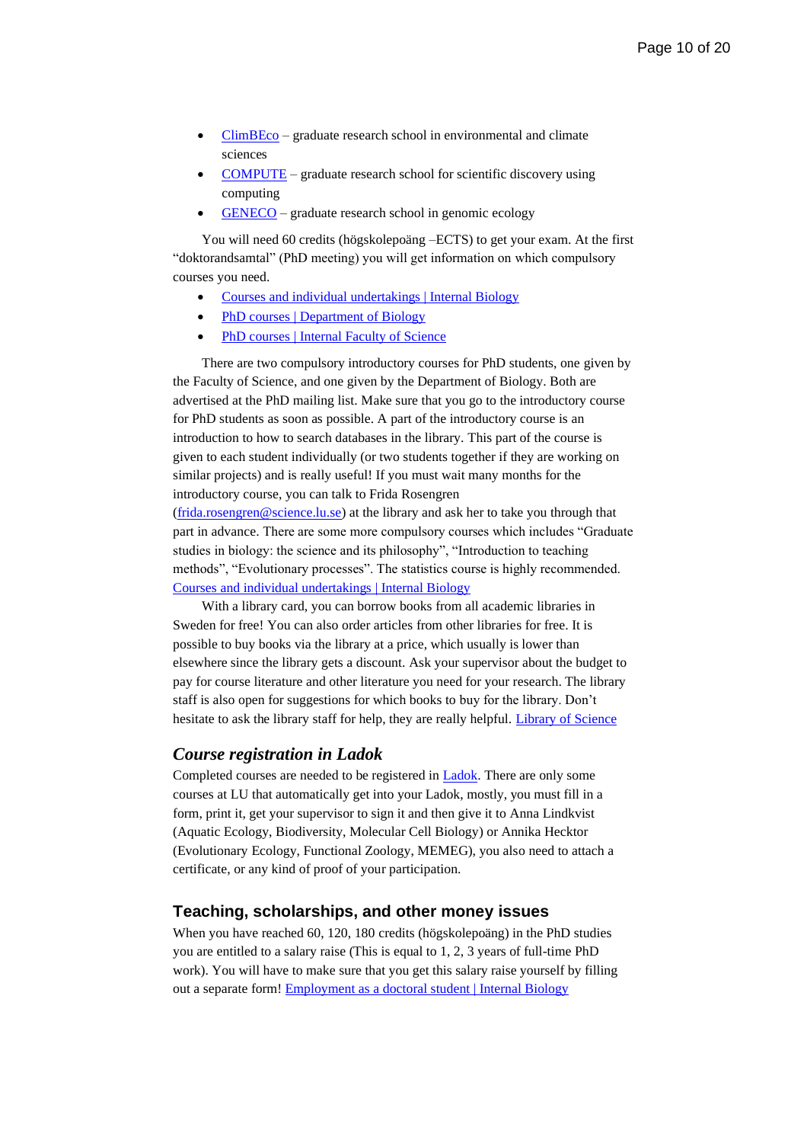- $\overline{\text{ClimBEco}}$  $\overline{\text{ClimBEco}}$  $\overline{\text{ClimBEco}}$  graduate research school in environmental and climate sciences
- [COMPUTE](https://www.compute.lu.se/) graduate research school for scientific discovery using computing
- [GENECO](https://www.biology.lu.se/education/phd-studies/geneco-graduate-research-school-genomic-ecology) graduate research school in genomic ecology

You will need 60 credits (högskolepoäng –ECTS) to get your exam. At the first "doktorandsamtal" (PhD meeting) you will get information on which compulsory courses you need.

- [Courses and individual undertakings | Internal Biology](https://www.biology.lu.se/internal/research-and-education/postgraduate-studies/courses-and-individual-undertakings)
- PhD courses | [Department](https://www.biology.lu.se/education/phd-studies/phd-courses) of Biology
- PhD courses | Internal [Faculty of Science](https://www.science.lu.se/internal/research-and-education/postgraduate-studies/courses-and-graduate-schools)

There are two compulsory introductory courses for PhD students, one given by the Faculty of Science, and one given by the Department of Biology. Both are advertised at the PhD mailing list. Make sure that you go to the introductory course for PhD students as soon as possible. A part of the introductory course is an introduction to how to search databases in the library. This part of the course is given to each student individually (or two students together if they are working on similar projects) and is really useful! If you must wait many months for the introductory course, you can talk to Frida Rosengren

[\(frida.rosengren@science.lu.se\)](mailto:frida.rosengren@science.lu.se) at the library and ask her to take you through that part in advance. There are some more compulsory courses which includes "Graduate studies in biology: the science and its philosophy", "Introduction to teaching methods", "Evolutionary processes". The statistics course is highly recommended. [Courses and individual undertakings](https://www.biology.lu.se/internal/research-and-education/postgraduate-studies/courses-and-individual-undertakings) | Internal Biology

With a library card, you can borrow books from all academic libraries in Sweden for free! You can also order articles from other libraries for free. It is possible to buy books via the library at a price, which usually is lower than elsewhere since the library gets a discount. Ask your supervisor about the budget to pay for course literature and other literature you need for your research. The library staff is also open for suggestions for which books to buy for the library. Don't hesitate to ask the library staff for help, they are really helpful. [Library of Science](https://www.science-library.lu.se/)

#### <span id="page-9-0"></span>*Course registration in Ladok*

Completed courses are needed to be registered in [Ladok.](https://www.student.ladok.se/student/app/studentwebb/) There are only some courses at LU that automatically get into your Ladok, mostly, you must fill in a form, print it, get your supervisor to sign it and then give it to Anna Lindkvist (Aquatic Ecology, Biodiversity, Molecular Cell Biology) or Annika Hecktor (Evolutionary Ecology, Functional Zoology, MEMEG), you also need to attach a certificate, or any kind of proof of your participation.

#### <span id="page-9-1"></span>**Teaching, scholarships, and other money issues**

When you have reached 60, 120, 180 credits (högskolepoäng) in the PhD studies you are entitled to a salary raise (This is equal to 1, 2, 3 years of full-time PhD work). You will have to make sure that you get this salary raise yourself by filling out a separate form! [Employment as a doctoral student | Internal Biology](https://www.biology.lu.se/internal/employment/employment-doctoral-student)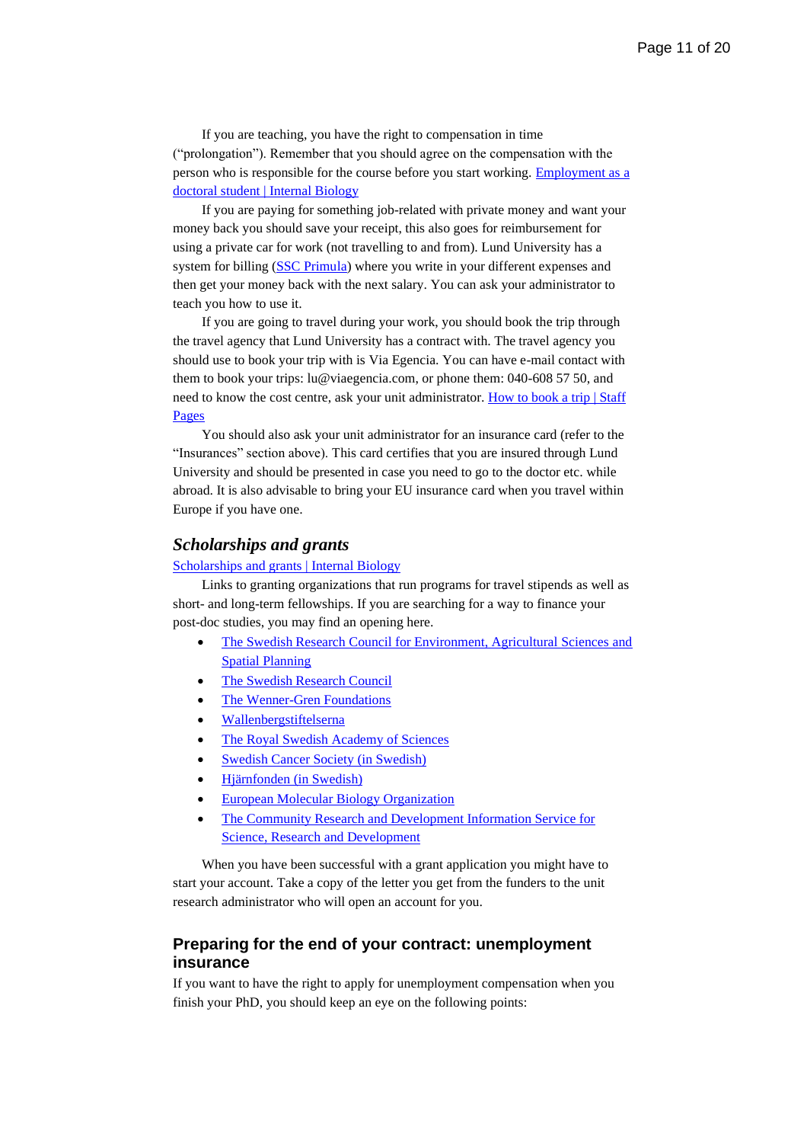If you are teaching, you have the right to compensation in time ("prolongation"). Remember that you should agree on the compensation with the person who is responsible for the course before you start working. [Employment as a](https://www.biology.lu.se/internal/employment/employment-doctoral-student)  [doctoral student | Internal Biology](https://www.biology.lu.se/internal/employment/employment-doctoral-student)

If you are paying for something job-related with private money and want your money back you should save your receipt, this also goes for reimbursement for using a private car for work (not travelling to and from). Lund University has a system for billing [\(SSC Primula\)](https://primweb.adm.lu.se/switchToEng.do;jsessionid=D8436D237AD682BB906B2A8C46C4ABB6.p1) where you write in your different expenses and then get your money back with the next salary. You can ask your administrator to teach you how to use it.

If you are going to travel during your work, you should book the trip through the travel agency that Lund University has a contract with. The travel agency you should use to book your trip with is Via Egencia. You can have e-mail contact with them to book your trips: lu@viaegencia.com, or phone them: 040-608 57 50, and need to know the cost centre, ask your unit administrator. How to book a trip | Staff [Pages](https://www.staff.lu.se/support-and-tools/business-travel/how-book-trip)

You should also ask your unit administrator for an insurance card (refer to the "Insurances" section above). This card certifies that you are insured through Lund University and should be presented in case you need to go to the doctor etc. while abroad. It is also advisable to bring your EU insurance card when you travel within Europe if you have one.

#### <span id="page-10-0"></span>*Scholarships and grants*

#### [Scholarships and grants | Internal Biology](https://www.biology.lu.se/internal/research-and-education/postgraduate-studies/scholarships-and-grants)

Links to granting organizations that run programs for travel stipends as well as short- and long-term fellowships. If you are searching for a way to finance your post-doc studies, you may find an opening here.

- [The Swedish Research Council for Environment, Agricultural Sciences and](https://www.formas.se/en/start-page.html) [Spatial Planning](https://www.formas.se/en/start-page.html)
- [The Swedish Research Council](https://www.vr.se/english.html)
- [The Wenner-Gren Foundations](https://www.swgc.org/welcome.aspx)
- [Wallenbergstiftelserna](https://www.wallenberg.com/en)
- [The Royal Swedish Academy of Sciences](https://www.kva.se/en/startsida)
- **[Swedish Cancer Society](https://www.cancerfonden.se/) (in Swedish)**
- Hjärnfonden [\(in Swedish\)](https://www.hjarnfonden.se/)
- [European Molecular Biology Organization](https://www.embo.org/)
- [The Community Research and Development Information Service for](https://cordis.europa.eu/)  [Science, Research and Development](https://cordis.europa.eu/)

When you have been successful with a grant application you might have to start your account. Take a copy of the letter you get from the funders to the unit research administrator who will open an account for you.

# <span id="page-10-1"></span>**Preparing for the end of your contract: unemployment insurance**

If you want to have the right to apply for unemployment compensation when you finish your PhD, you should keep an eye on the following points: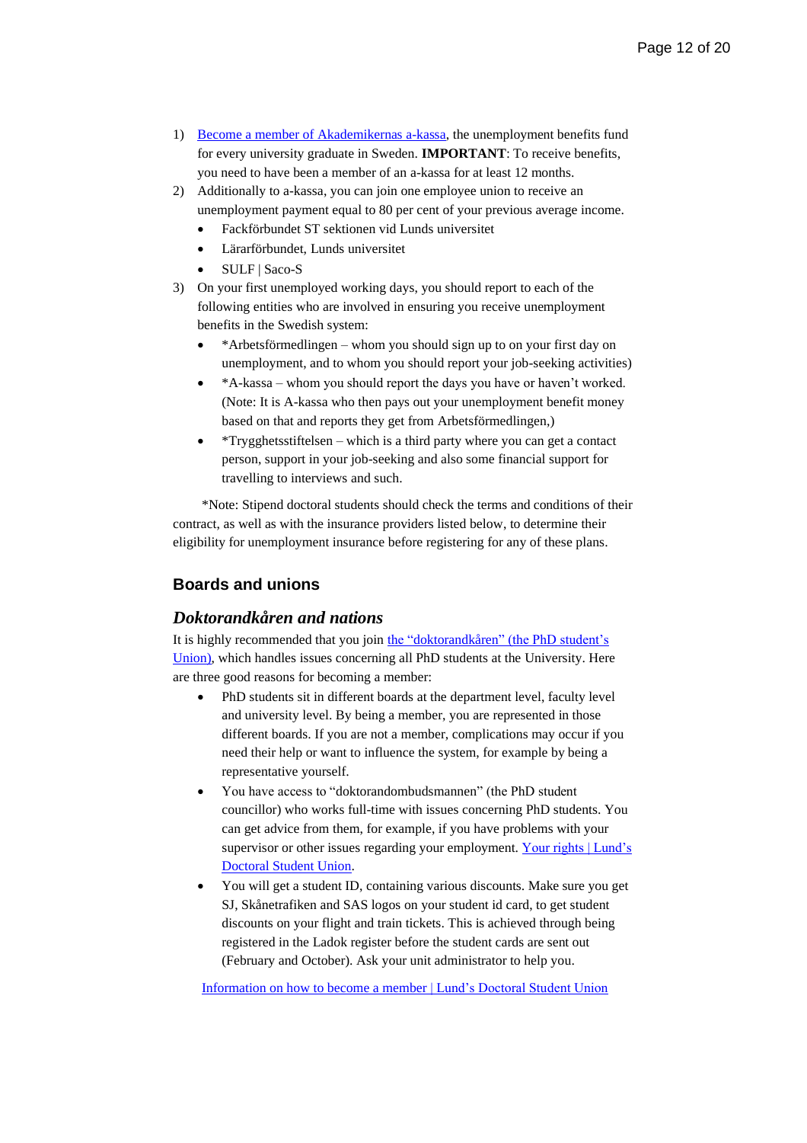- 1) [Become a member of Akademikernas a-kassa,](https://www.akademikernasakassa.se/en) the unemployment benefits fund for every university graduate in Sweden. **IMPORTANT**: To receive benefits, you need to have been a member of an a-kassa for at least 12 months.
- 2) Additionally to a-kassa, you can join one employee union to receive an unemployment payment equal to 80 per cent of your previous average income.
	- Fackförbundet ST sektionen vid Lunds universitet
	- Lärarförbundet, Lunds universitet
	- SULF | Saco-S
- 3) On your first unemployed working days, you should report to each of the following entities who are involved in ensuring you receive unemployment benefits in the Swedish system:
	- \*Arbetsförmedlingen whom you should sign up to on your first day on unemployment, and to whom you should report your job-seeking activities)
	- \*A-kassa whom you should report the days you have or haven't worked. (Note: It is A-kassa who then pays out your unemployment benefit money based on that and reports they get from Arbetsförmedlingen,)
	- \*Trygghetsstiftelsen which is a third party where you can get a contact person, support in your job-seeking and also some financial support for travelling to interviews and such.

\*Note: Stipend doctoral students should check the terms and conditions of their contract, as well as with the insurance providers listed below, to determine their eligibility for unemployment insurance before registering for any of these plans.

# <span id="page-11-0"></span>**Boards and unions**

### <span id="page-11-1"></span>*Doktorandkåren and nations*

It is highly recommended that you join [the "doktorandkåren" \(the PhD student's](http://www.ldk.lu.se/)  [Union\),](http://www.ldk.lu.se/) which handles issues concerning all PhD students at the University. Here are three good reasons for becoming a member:

- PhD students sit in different boards at the department level, faculty level and university level. By being a member, you are represented in those different boards. If you are not a member, complications may occur if you need their help or want to influence the system, for example by being a representative yourself.
- You have access to "doktorandombudsmannen" (the PhD student councillor) who works full-time with issues concerning PhD students. You can get advice from them, for example, if you have problems with your supervisor or other issues regarding your employment[. Your rights | Lund's](https://www.ldk.lu.se/your-rights)  [Doctoral Student Union.](https://www.ldk.lu.se/your-rights)
- You will get a student ID, containing various discounts. Make sure you get SJ, Skånetrafiken and SAS logos on your student id card, to get student discounts on your flight and train tickets. This is achieved through being registered in the Ladok register before the student cards are sent out (February and October). Ask your unit administrator to help you.

[Information on how to become a member](https://www.ldk.lu.se/your-membership) | Lund's Doctoral Student Union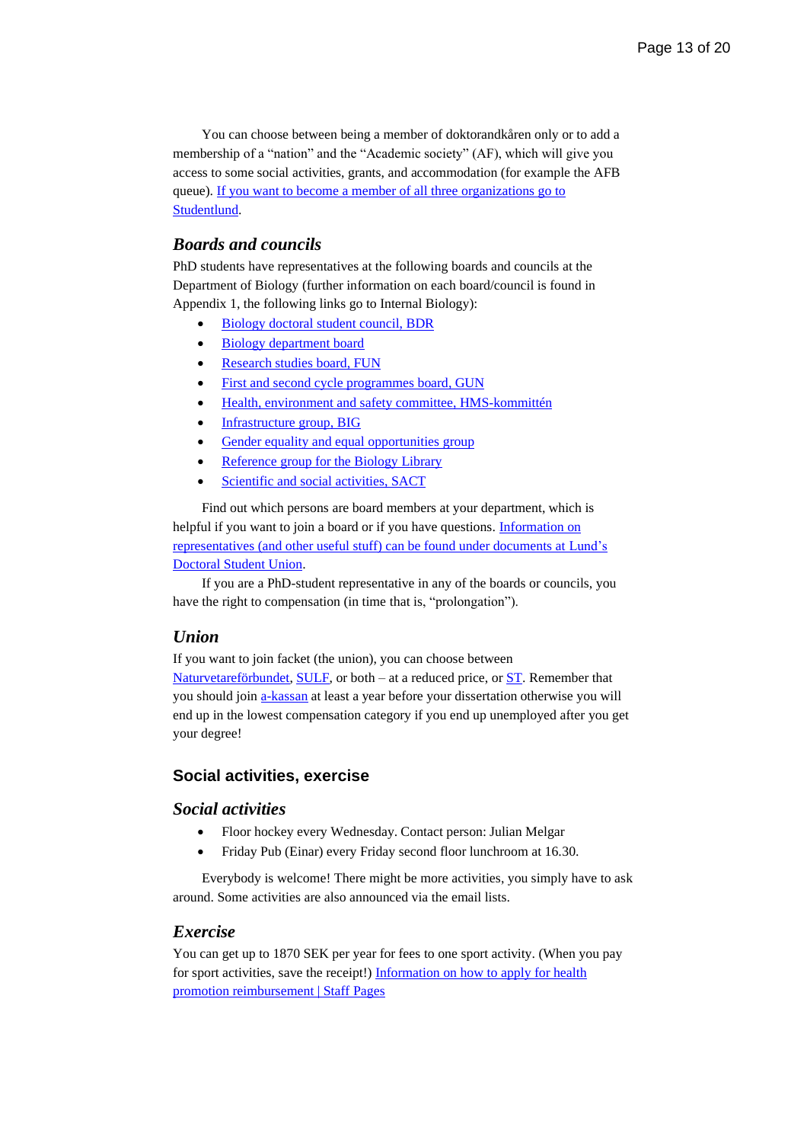You can choose between being a member of doktorandkåren only or to add a membership of a "nation" and the "Academic society" (AF), which will give you access to some social activities, grants, and accommodation (for example the AFB queue). If you want to [become a member of all three organizations go to](https://www.studentlund.se/) [Studentlund.](https://www.studentlund.se/)

# <span id="page-12-0"></span>*Boards and councils*

PhD students have representatives at the following boards and councils at the Department of Biology (further information on each board/council is found in Appendix 1, the following links go to Internal Biology):

- [Biology doctoral student council, BDR](https://www.biology.lu.se/internal/organisation/boards-groups-and-committees/biology-doctoral-students-council-bdr)
- [Biology department board](https://www.biology.lu.se/internal/organisation/boards-groups-and-committees/biology-department-board)
- [Research studies](https://www.biology.lu.se/internal/organisation/boards-groups-and-committees/research-studies-board-fun) board, FUN
- [First and second cycle programmes board, GUN](https://www.biology.lu.se/internal/organisation/boards-groups-and-committees/first-and-second-cycle-programmes-board-gun)
- [Health, environment and safety](https://www.biology.lu.se/internal/organisation/boards-groups-and-committees/health-environment-and-safety-committee) committee, HMS-kommittén
- [Infrastructure group, BIG](https://www.biology.lu.se/internal/organisation/boards-groups-and-committees/infrastructure-group)
- Gender [equality and equal opportunities group](https://www.biology.lu.se/internal/organisation/boards-groups-and-committees/gender-equality-and-equal-opportunities-group)
- [Reference group for the Biology Library](https://www.biology.lu.se/internal/organisation/boards-groups-and-committees/reference-group-biology-library)
- [Scientific and social activities, SACT](https://www.biology.lu.se/internal/organisation/boards-groups-and-committees/seminars-scientific-and-social-activities)

Find out which persons are board members at your department, which is helpful if you want to join a board or if you have questions. [Information on](https://www.ldk.lu.se/your-organisation)  [representatives \(and other useful stuff\) can be found under documents at](https://www.ldk.lu.se/your-organisation) Lund's [Doctoral Student Union.](https://www.ldk.lu.se/your-organisation)

If you are a PhD-student representative in any of the boards or councils, you have the right to compensation (in time that is, "prolongation").

#### <span id="page-12-1"></span>*Union*

If you want to join facket (the union), you can choose between

[Naturvetareförbundet,](https://www.naturvetarna.se/en) [SULF,](https://sulf.se/en/) or both – at a reduced price, or [ST.](http://www.st.org/st-in-english/) Remember that you should join [a-kassan](https://www.akademikernasakassa.se/en) at least a year before your dissertation otherwise you will end up in the lowest compensation category if you end up unemployed after you get your degree!

#### <span id="page-12-2"></span>**Social activities, exercise**

# <span id="page-12-3"></span>*Social activities*

- Floor hockey every Wednesday. Contact person: Julian Melgar
- Friday Pub (Einar) every Friday second floor lunchroom at 16.30.

Everybody is welcome! There might be more activities, you simply have to ask around. Some activities are also announced via the email lists.

#### <span id="page-12-4"></span>*Exercise*

You can get up to 1870 SEK per year for fees to one sport activity. (When you pay for sport activities, save the receipt![\) Information on how to apply for health](https://www.staff.lu.se/employment/salary-and-benefits/benefits/health-promotion)  [promotion reimbursement | Staff Pages](https://www.staff.lu.se/employment/salary-and-benefits/benefits/health-promotion)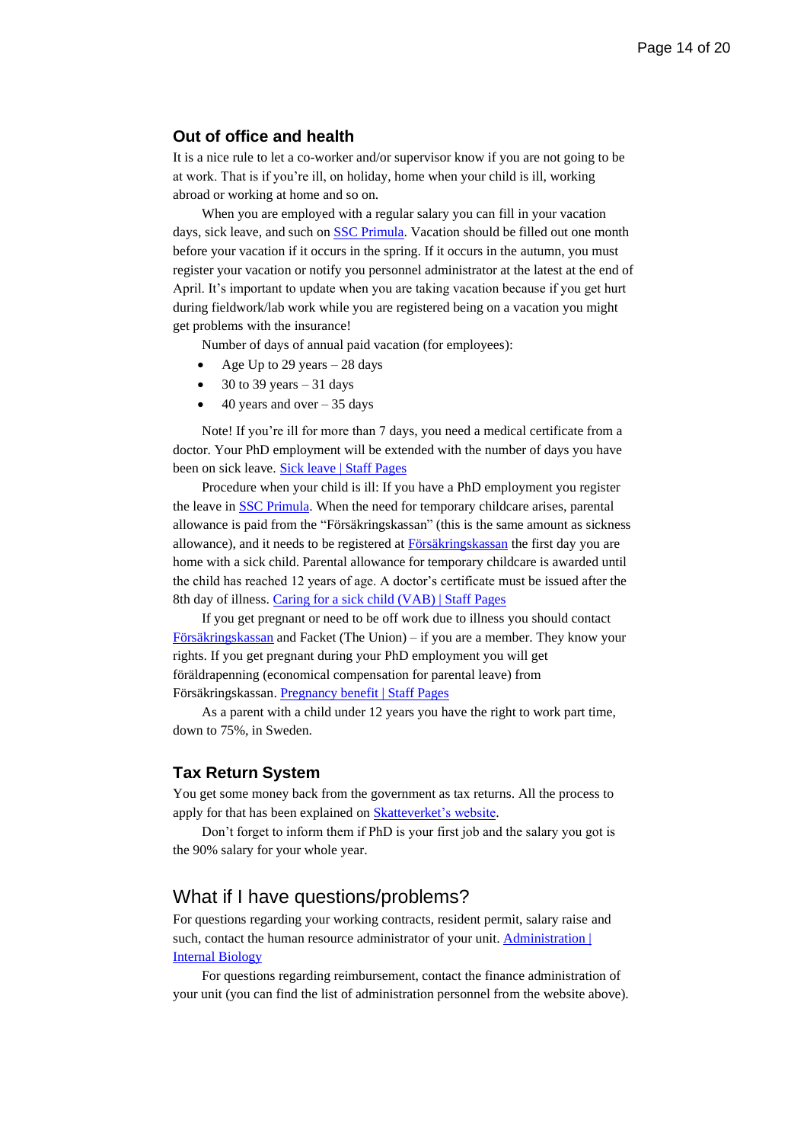# <span id="page-13-0"></span>**Out of office and health**

It is a nice rule to let a co-worker and/or supervisor know if you are not going to be at work. That is if you're ill, on holiday, home when your child is ill, working abroad or working at home and so on.

When you are employed with a regular salary you can fill in your vacation days, sick leave, and such on [SSC Primula.](https://primweb.adm.lu.se/) Vacation should be filled out one month before your vacation if it occurs in the spring. If it occurs in the autumn, you must register your vacation or notify you personnel administrator at the latest at the end of April. It's important to update when you are taking vacation because if you get hurt during fieldwork/lab work while you are registered being on a vacation you might get problems with the insurance!

Number of days of annual paid vacation (for employees):

- Age Up to 29 years  $-28$  days
- 30 to 39 years  $-31$  days
- $\bullet$  40 years and over 35 days

Note! If you're ill for more than 7 days, you need a medical certificate from a doctor. Your PhD employment will be extended with the number of days you have been on sick leave. [Sick leave | Staff Pages](https://www.staff.lu.se/employment/annual-leave-leave-absence-and-sick-leave/sick-leave)

Procedure when your child is ill: If you have a PhD employment you register the leave in [SSC Primula.](https://primweb.adm.lu.se/) When the need for temporary childcare arises, parental allowance is paid from the "Försäkringskassan" (this is the same amount as sickness allowance), and it needs to be registered a[t Försäkringskassan](https://www.forsakringskassan.se/english/parents/care-of-a-sick-child-vab) the first day you are home with a sick child. Parental allowance for temporary childcare is awarded until the child has reached 12 years of age. A doctor's certificate must be issued after the 8th day of illness. [Caring for a sick child \(VAB\) | Staff Pages](https://www.staff.lu.se/employment/annual-leave-leave-absence-and-sick-leave/parental-leave-parental-allowance-and-caring-sick-child#Caring%20for%20a%20sick%20child%20(VAB))

If you get pregnant or need to be off work due to illness you should contact [Försäkringskassan](https://www.forsakringskassan.se/english/parents/if-you-are-expecting-a-child/parental-benefit-before-the-child-is-born) and Facket (The Union) – if you are a member. They know your rights. If you get pregnant during your PhD employment you will get föräldrapenning (economical compensation for parental leave) from Försäkringskassan. [Pregnancy benefit | Staff Pages](https://www.staff.lu.se/employment/annual-leave-leave-absence-and-sick-leave/parental-leave-parental-allowance-and-caring-sick-child#Pregnancy%20benefit)

As a parent with a child under 12 years you have the right to work part time, down to 75%, in Sweden.

#### <span id="page-13-1"></span>**Tax Return System**

You get some money back from the government as tax returns. All the process to apply for that has been explained on [Skatteverket's website.](https://www.skatteverket.se/servicelankar/otherlanguages/inenglish/individualsandemployees/declaringtaxesforindividuals/howtofileyourtaxreturn.4.7be5268414bea064694c620.html)

Don't forget to inform them if PhD is your first job and the salary you got is the 90% salary for your whole year.

# <span id="page-13-2"></span>What if I have questions/problems?

For questions regarding your working contracts, resident permit, salary raise and such, contact the human resource administrator of your unit. Administration | [Internal Biology](https://www.biology.lu.se/internal/organisation/administration)

For questions regarding reimbursement, contact the finance administration of your unit (you can find the list of administration personnel from the website above).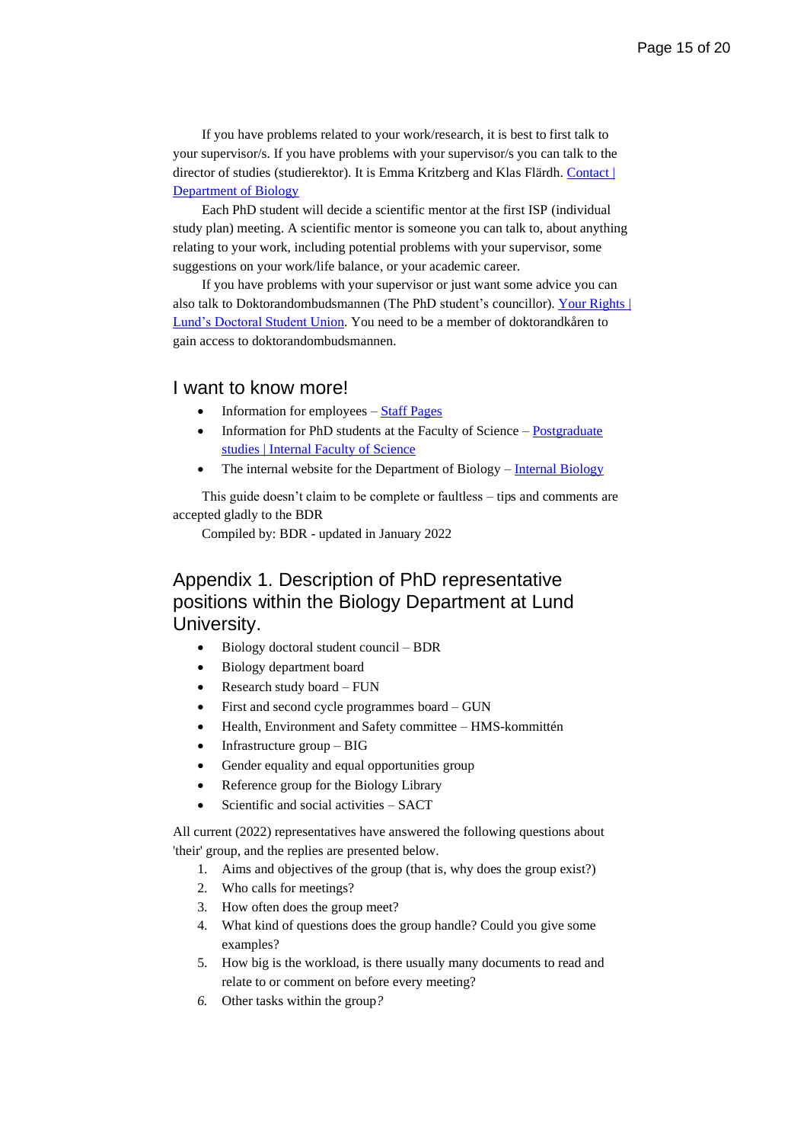If you have problems related to your work/research, it is best to first talk to your supervisor/s. If you have problems with your supervisor/s you can talk to the director of studies (studierektor). It is Emma Kritzberg and Klas Flärdh. Contact | [Department of Biology](https://www.biology.lu.se/contact)

Each PhD student will decide a scientific mentor at the first ISP (individual study plan) meeting. A scientific mentor is someone you can talk to, about anything relating to your work, including potential problems with your supervisor, some suggestions on your work/life balance, or your academic career.

If you have problems with your supervisor or just want some advice you can also talk to Doktorandombudsmannen (The PhD student's councillor). Your Rights | [Lund's Doctoral Student](https://www.ldk.lu.se/your-rights) Union. You need to be a member of doktorandkåren to gain access to doktorandombudsmannen.

#### <span id="page-14-0"></span>I want to know more!

- Information for employees [Staff Pages](https://www.staff.lu.se/)
- Information for PhD students at the Faculty of Science  $Postgraduate$ [studies | Internal Faculty of Science](https://www.science.lu.se/internal/research-and-education/postgraduate-studies)
- The internal website for the Department of Biology [Internal Biology](https://www.science.lu.se/internal/research-and-education/postgraduate-studies)

This guide doesn't claim to be complete or faultless – tips and comments are accepted gladly to the BDR

Compiled by: BDR - updated in January 2022

# <span id="page-14-1"></span>Appendix 1. Description of PhD representative positions within the Biology Department at Lund University.

- Biology doctoral student council BDR
- Biology department board
- Research study board FUN
- First and second cycle programmes board GUN
- Health, Environment and Safety committee HMS-kommittén
- Infrastructure group BIG
- Gender equality and equal opportunities group
- Reference group for the Biology Library
- Scientific and social activities SACT

All current (2022) representatives have answered the following questions about 'their' group, and the replies are presented below.

- 1. Aims and objectives of the group (that is, why does the group exist?)
- 2. Who calls for meetings?
- 3. How often does the group meet?
- 4. What kind of questions does the group handle? Could you give some examples?
- 5. How big is the workload, is there usually many documents to read and relate to or comment on before every meeting?
- *6.* Other tasks within the group*?*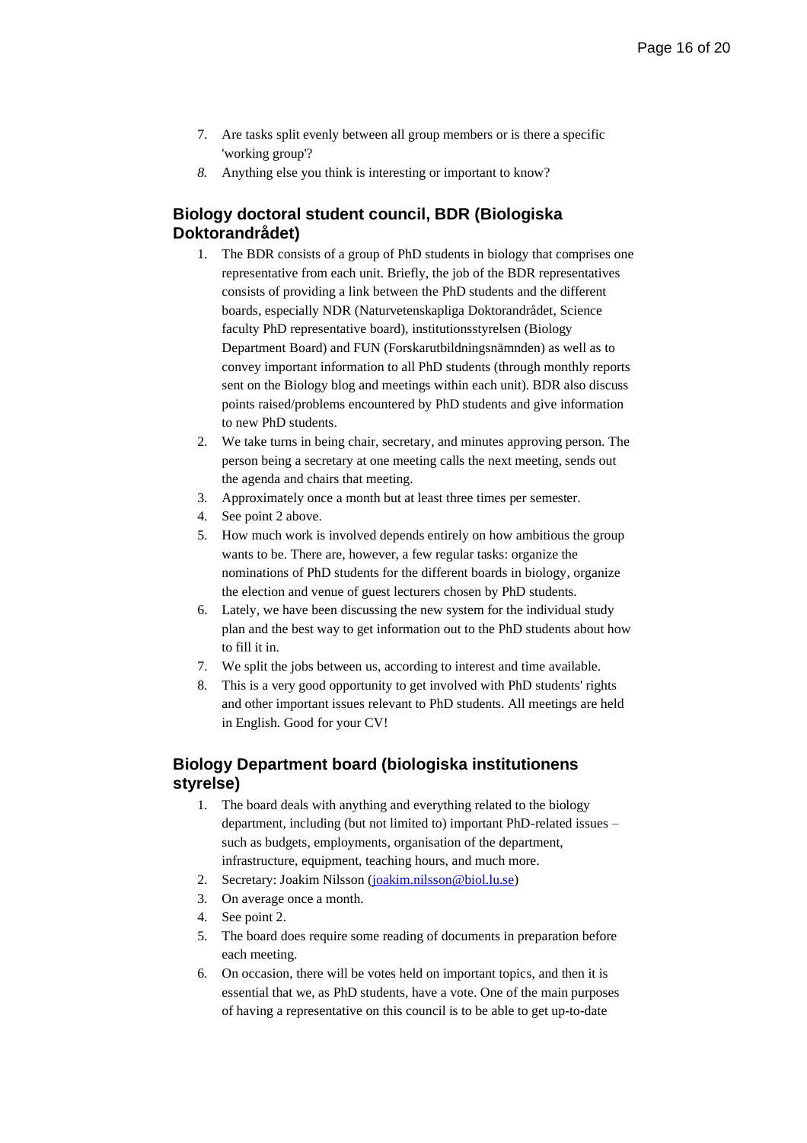- 7. Are tasks split evenly between all group members or is there a specific 'working group'?
- *8.* Anything else you think is interesting or important to know?

# <span id="page-15-0"></span>**Biology doctoral student council, BDR (Biologiska Doktorandrådet)**

- 1. The BDR consists of a group of PhD students in biology that comprises one representative from each unit. Briefly, the job of the BDR representatives consists of providing a link between the PhD students and the different boards, especially NDR (Naturvetenskapliga Doktorandrådet, Science faculty PhD representative board), institutionsstyrelsen (Biology Department Board) and FUN (Forskarutbildningsnämnden) as well as to convey important information to all PhD students (through monthly reports sent on the Biology blog and meetings within each unit). BDR also discuss points raised/problems encountered by PhD students and give information to new PhD students.
- 2. We take turns in being chair, secretary, and minutes approving person. The person being a secretary at one meeting calls the next meeting, sends out the agenda and chairs that meeting.
- 3. Approximately once a month but at least three times per semester.
- 4. See point 2 above.
- 5. How much work is involved depends entirely on how ambitious the group wants to be. There are, however, a few regular tasks: organize the nominations of PhD students for the different boards in biology, organize the election and venue of guest lecturers chosen by PhD students.
- 6. Lately, we have been discussing the new system for the individual study plan and the best way to get information out to the PhD students about how to fill it in.
- 7. We split the jobs between us, according to interest and time available.
- 8. This is a very good opportunity to get involved with PhD students' rights and other important issues relevant to PhD students. All meetings are held in English. Good for your CV!

# <span id="page-15-1"></span>**Biology Department board (biologiska institutionens styrelse)**

- 1. The board deals with anything and everything related to the biology department, including (but not limited to) important PhD-related issues – such as budgets, employments, organisation of the department, infrastructure, equipment, teaching hours, and much more.
- 2. Secretary: Joakim Nilsson [\(joakim.nilsson@biol.lu.se\)](mailto:joakim.nilsson@biol.lu.se)
- 3. On average once a month.
- 4. See point 2.
- 5. The board does require some reading of documents in preparation before each meeting.
- 6. On occasion, there will be votes held on important topics, and then it is essential that we, as PhD students, have a vote. One of the main purposes of having a representative on this council is to be able to get up-to-date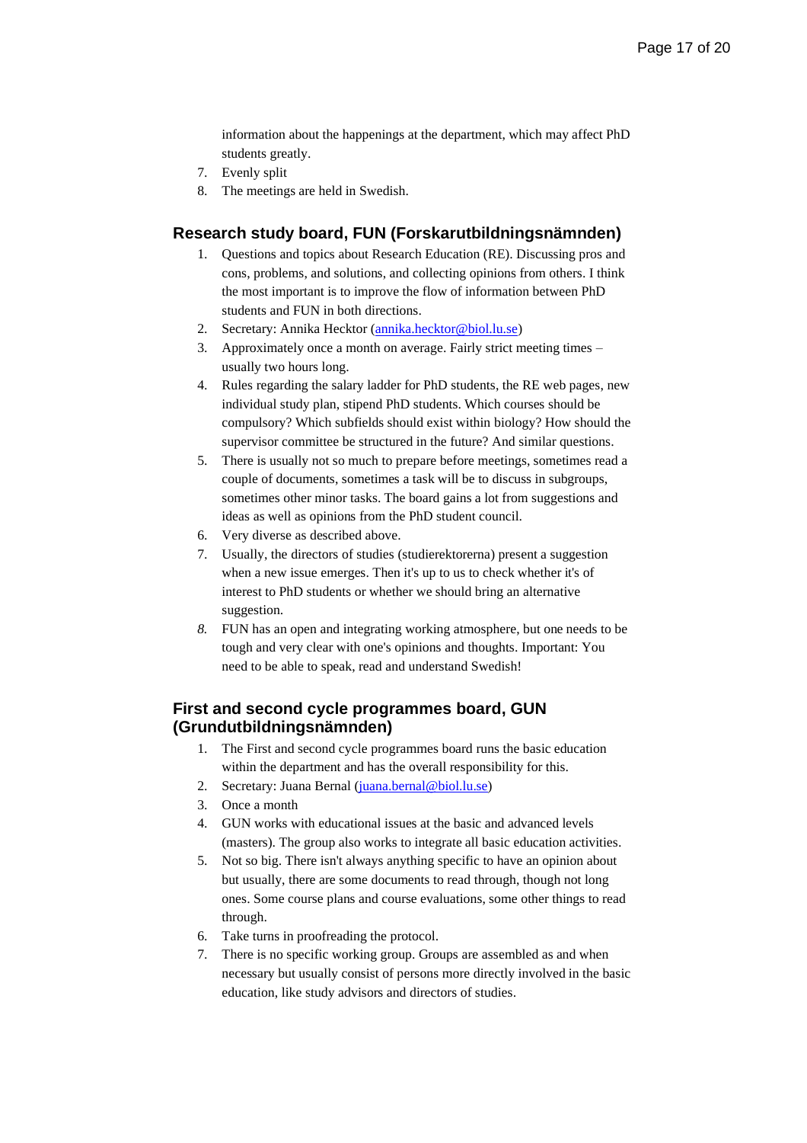information about the happenings at the department, which may affect PhD students greatly.

- 7. Evenly split
- 8. The meetings are held in Swedish.

# <span id="page-16-0"></span>**Research study board, FUN (Forskarutbildningsnämnden)**

- 1. Questions and topics about Research Education (RE). Discussing pros and cons, problems, and solutions, and collecting opinions from others. I think the most important is to improve the flow of information between PhD students and FUN in both directions.
- 2. Secretary: Annika Hecktor [\(annika.hecktor@biol.lu.se\)](mailto:annika.hecktor@biol.lu.se)
- 3. Approximately once a month on average. Fairly strict meeting times usually two hours long.
- 4. Rules regarding the salary ladder for PhD students, the RE web pages, new individual study plan, stipend PhD students. Which courses should be compulsory? Which subfields should exist within biology? How should the supervisor committee be structured in the future? And similar questions.
- 5. There is usually not so much to prepare before meetings, sometimes read a couple of documents, sometimes a task will be to discuss in subgroups, sometimes other minor tasks. The board gains a lot from suggestions and ideas as well as opinions from the PhD student council.
- 6. Very diverse as described above.
- 7. Usually, the directors of studies (studierektorerna) present a suggestion when a new issue emerges. Then it's up to us to check whether it's of interest to PhD students or whether we should bring an alternative suggestion.
- *8.* FUN has an open and integrating working atmosphere, but one needs to be tough and very clear with one's opinions and thoughts. Important: You need to be able to speak, read and understand Swedish!

# <span id="page-16-1"></span>**First and second cycle programmes board, GUN (Grundutbildningsnämnden)**

- 1. The First and second cycle programmes board runs the basic education within the department and has the overall responsibility for this.
- 2. Secretary: Juana Bernal [\(juana.bernal@biol.lu.se\)](mailto:juana.bernal@biol.lu.se)
- 3. Once a month
- 4. GUN works with educational issues at the basic and advanced levels (masters). The group also works to integrate all basic education activities.
- 5. Not so big. There isn't always anything specific to have an opinion about but usually, there are some documents to read through, though not long ones. Some course plans and course evaluations, some other things to read through.
- 6. Take turns in proofreading the protocol.
- 7. There is no specific working group. Groups are assembled as and when necessary but usually consist of persons more directly involved in the basic education, like study advisors and directors of studies.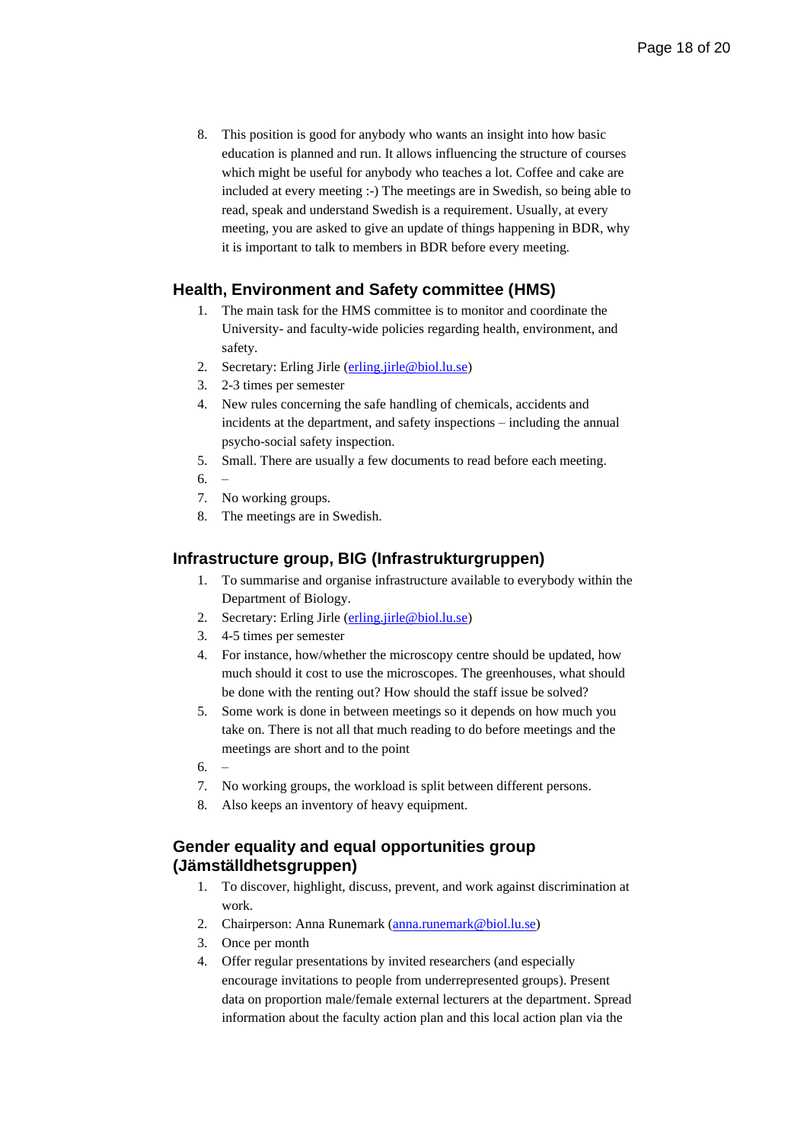8. This position is good for anybody who wants an insight into how basic education is planned and run. It allows influencing the structure of courses which might be useful for anybody who teaches a lot. Coffee and cake are included at every meeting :-) The meetings are in Swedish, so being able to read, speak and understand Swedish is a requirement. Usually, at every meeting, you are asked to give an update of things happening in BDR, why it is important to talk to members in BDR before every meeting.

# <span id="page-17-0"></span>**Health, Environment and Safety committee (HMS)**

- 1. The main task for the HMS committee is to monitor and coordinate the University- and faculty-wide policies regarding health, environment, and safety.
- 2. Secretary: Erling Jirle [\(erling.jirle@biol.lu.se\)](mailto:erling.jirle@biol.lu.se)
- 3. 2-3 times per semester
- 4. New rules concerning the safe handling of chemicals, accidents and incidents at the department, and safety inspections – including the annual psycho-social safety inspection.
- 5. Small. There are usually a few documents to read before each meeting.
- 6. –
- 7. No working groups.
- 8. The meetings are in Swedish.

# <span id="page-17-1"></span>**Infrastructure group, BIG (Infrastrukturgruppen)**

- 1. To summarise and organise infrastructure available to everybody within the Department of Biology.
- 2. Secretary: Erling Jirle [\(erling.jirle@biol.lu.se\)](mailto:erling.jirle@biol.lu.se)
- 3. 4-5 times per semester
- 4. For instance, how/whether the microscopy centre should be updated, how much should it cost to use the microscopes. The greenhouses, what should be done with the renting out? How should the staff issue be solved?
- 5. Some work is done in between meetings so it depends on how much you take on. There is not all that much reading to do before meetings and the meetings are short and to the point
- 6. –
- 7. No working groups, the workload is split between different persons.
- 8. Also keeps an inventory of heavy equipment.

# <span id="page-17-2"></span>**Gender equality and equal opportunities group (Jämställdhetsgruppen)**

- 1. To discover, highlight, discuss, prevent, and work against discrimination at work.
- 2. Chairperson: Anna Runemark [\(anna.runemark@biol.lu.se\)](mailto:anna.runemark@biol.lu.se)
- 3. Once per month
- 4. Offer regular presentations by invited researchers (and especially encourage invitations to people from underrepresented groups). Present data on proportion male/female external lecturers at the department. Spread information about the faculty action plan and this local action plan via the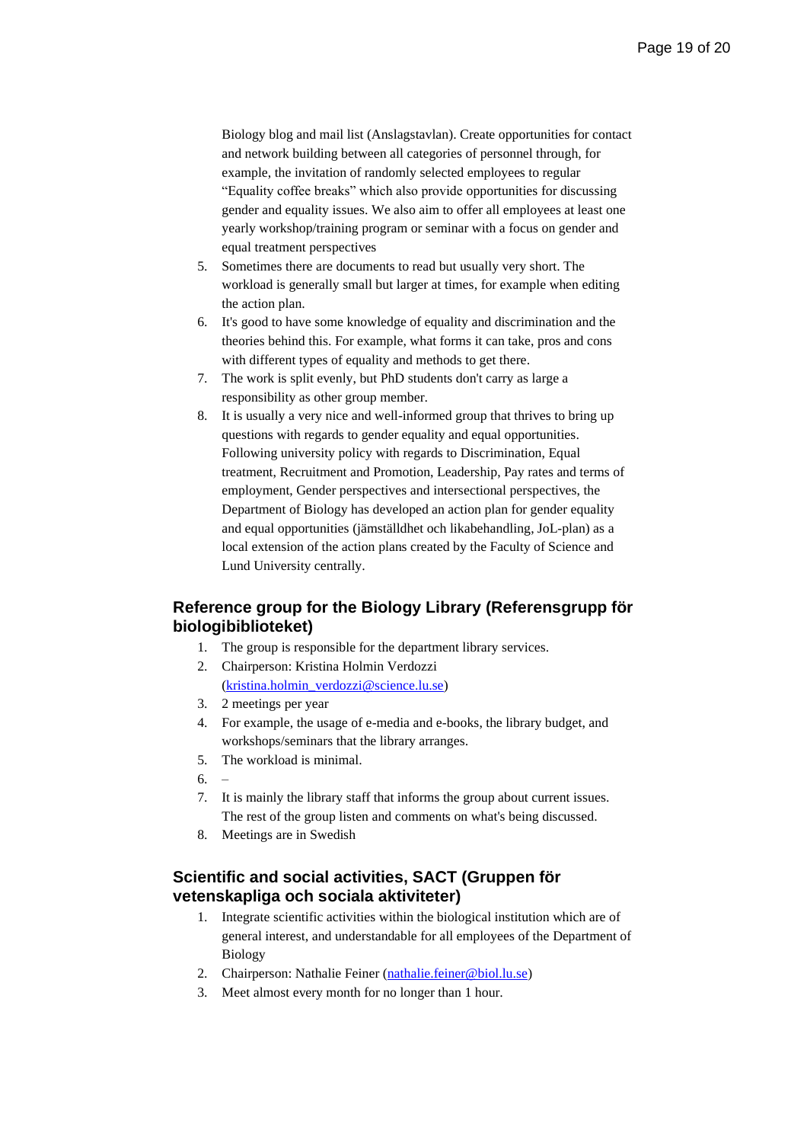Biology blog and mail list (Anslagstavlan). Create opportunities for contact and network building between all categories of personnel through, for example, the invitation of randomly selected employees to regular "Equality coffee breaks" which also provide opportunities for discussing gender and equality issues. We also aim to offer all employees at least one yearly workshop/training program or seminar with a focus on gender and equal treatment perspectives

- 5. Sometimes there are documents to read but usually very short. The workload is generally small but larger at times, for example when editing the action plan.
- 6. It's good to have some knowledge of equality and discrimination and the theories behind this. For example, what forms it can take, pros and cons with different types of equality and methods to get there.
- 7. The work is split evenly, but PhD students don't carry as large a responsibility as other group member.
- 8. It is usually a very nice and well-informed group that thrives to bring up questions with regards to gender equality and equal opportunities. Following university policy with regards to Discrimination, Equal treatment, Recruitment and Promotion, Leadership, Pay rates and terms of employment, Gender perspectives and intersectional perspectives, the Department of Biology has developed an action plan for gender equality and equal opportunities (jämställdhet och likabehandling, JoL-plan) as a local extension of the action plans created by the Faculty of Science and Lund University centrally.

# <span id="page-18-0"></span>**Reference group for the Biology Library (Referensgrupp för biologibiblioteket)**

- 1. The group is responsible for the department library services.
- 2. Chairperson: Kristina Holmin Verdozzi [\(kristina.holmin\\_verdozzi@science.lu.se\)](mailto:kristina.holmin_verdozzi@science.lu.se)
- 3. 2 meetings per year
- 4. For example, the usage of e-media and e-books, the library budget, and workshops/seminars that the library arranges.
- 5. The workload is minimal.
- 6. –
- 7. It is mainly the library staff that informs the group about current issues. The rest of the group listen and comments on what's being discussed.
- 8. Meetings are in Swedish

# <span id="page-18-1"></span>**Scientific and social activities, SACT (Gruppen för vetenskapliga och sociala aktiviteter)**

- 1. Integrate scientific activities within the biological institution which are of general interest, and understandable for all employees of the Department of Biology
- 2. Chairperson: Nathalie Feiner [\(nathalie.feiner@biol.lu.se\)](mailto:nathalie.feiner@biol.lu.se)
- 3. Meet almost every month for no longer than 1 hour.